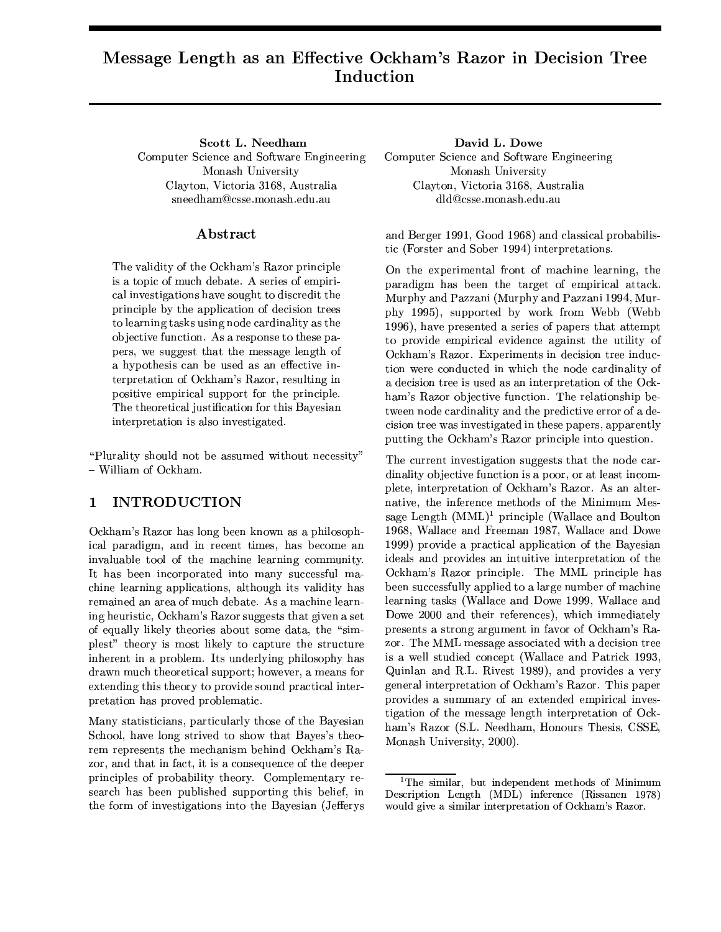# Message Length as an Effective Ockham's Razor in Decision Tree Induction

Scott L. Needham Computer Science and Software Engineering Monash University Clayton, Victoria 3168, Australia sneedham@csse.monash.edu.au

# ${\bf Abstract}$

The validity of the Ockham's Razor principle is a topic of much debate. A series of empirical investigations have sought to discredit the principle by the application of decision trees to learning tasks using node cardinality as the objective function. As a response to these papers, we suggest that the message length of a hypothesis can be used as an effective interpretation of Ockham's Razor, resulting in positive empirical support for the principle. The theoretical justification for this Bayesian interpretation is also investigated.

"Plurality should not be assumed without necessity" - William of Ockham.

#### **INTRODUCTION**  $\mathbf{1}$

Ockham's Razor has long been known as a philosophical paradigm, and in recent times, has become an invaluable tool of the machine learning community. It has been incorporated into many successful machine learning applications, although its validity has remained an area of much debate. As a machine learning heuristic, Ockham's Razor suggests that given a set of equally likely theories about some data, the "simplest" theory is most likely to capture the structure inherent in a problem. Its underlying philosophy has drawn much theoretical support; however, a means for extending this theory to provide sound practical interpretation has proved problematic.

Many statisticians, particularly those of the Bayesian School, have long strived to show that Bayes's theorem represents the mechanism behind Ockham's Razor, and that in fact, it is a consequence of the deeper principles of probability theory. Complementary research has been published supporting this belief, in the form of investigations into the Bayesian (Jefferys

David L. Dowe Computer Science and Software Engineering Monash University Clayton, Victoria 3168, Australia dld@csse.monash.edu.au

and Berger 1991, Good 1968) and classical probabilistic (Forster and Sober 1994) interpretations.

On the experimental front of machine learning, the paradigm has been the target of empirical attack. Murphy and Pazzani (Murphy and Pazzani 1994, Murphy 1995), supported by work from Webb (Webb 1996), have presented a series of papers that attempt to provide empirical evidence against the utility of Ockham's Razor. Experiments in decision tree induction were conducted in which the node cardinality of a decision tree is used as an interpretation of the Ockham's Razor objective function. The relationship between node cardinality and the predictive error of a decision tree was investigated in these papers, apparently putting the Ockham's Razor principle into question.

The current investigation suggests that the node cardinality objective function is a poor, or at least incomplete, interpretation of Ockham's Razor. As an alternative, the inference methods of the Minimum Message Length  $(MML)^1$  principle (Wallace and Boulton 1968, Wallace and Freeman 1987, Wallace and Dowe 1999) provide a practical application of the Bayesian ideals and provides an intuitive interpretation of the Ockham's Razor principle. The MML principle has been successfully applied to a large number of machine learning tasks (Wallace and Dowe 1999, Wallace and Dowe 2000 and their references), which immediately presents a strong argument in favor of Ockham's Razor. The MML message associated with a decision tree is a well studied concept (Wallace and Patrick 1993, Quinlan and R.L. Rivest 1989), and provides a very general interpretation of Ockham's Razor. This paper provides a summary of an extended empirical investigation of the message length interpretation of Ockham's Razor (S.L. Needham, Honours Thesis, CSSE, Monash University, 2000).

<sup>&</sup>lt;sup>1</sup>The similar, but independent methods of Minimum Description Length (MDL) inference (Rissanen 1978) would give a similar interpretation of Ockham's Razor.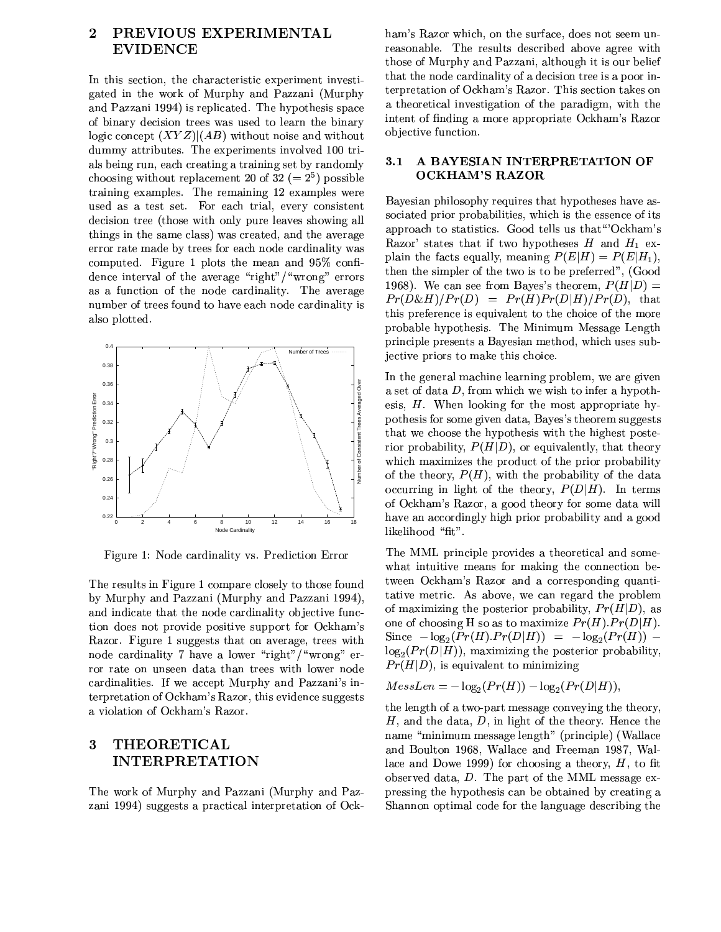### PREVIOUS EXPERIMENTAL  $\overline{2}$ **EVIDENCE**

In this section, the characteristic experiment investigated in the work of Murphy and Pazzani (Murphy and Pazzani 1994) is replicated. The hypothesis space of binary decision trees was used to learn the binary logic concept  $(XYZ)|(AB)$  without noise and without dummy attributes. The experiments involved 100 trials being run, each creating a training set by randomly choosing without replacement 20 of 32 (=  $2^5$ ) possible training examples. The remaining 12 examples were used as a test set. For each trial, every consistent decision tree (those with only pure leaves showing all things in the same class) was created, and the average error rate made by trees for each node cardinality was computed. Figure 1 plots the mean and 95% confidence interval of the average "right"/"wrong" errors as a function of the node cardinality. The average number of trees found to have each node cardinality is also plotted.



Figure 1: Node cardinality vs. Prediction Error

The results in Figure 1 compare closely to those found by Murphy and Pazzani (Murphy and Pazzani 1994), and indicate that the node cardinality objective function does not provide positive support for Ockham's Razor. Figure 1 suggests that on average, trees with node cardinality 7 have a lower "right"/"wrong" error rate on unseen data than trees with lower node cardinalities. If we accept Murphy and Pazzani's interpretation of Ockham's Razor, this evidence suggests a violation of Ockham's Razor.

### 3 **THEORETICAL INTERPRETATION**

The work of Murphy and Pazzani (Murphy and Pazzani 1994) suggests a practical interpretation of Ockham's Razor which, on the surface, does not seem unreasonable. The results described above agree with those of Murphy and Pazzani, although it is our belief that the node cardinality of a decision tree is a poor interpretation of Ockham's Razor. This section takes on a theoretical investigation of the paradigm, with the intent of finding a more appropriate Ockham's Razor objective function.

### A BAYESIAN INTERPRETATION OF  $3.1$ **OCKHAM'S RAZOR**

Bayesian philosophy requires that hypotheses have associated prior probabilities, which is the essence of its approach to statistics. Good tells us that "Ockham's Razor' states that if two hypotheses  $H$  and  $H_1$  explain the facts equally, meaning  $P(E|H) = P(E|H_1)$ , then the simpler of the two is to be preferred", (Good 1968). We can see from Bayes's theorem,  $P(H|D) =$  $Pr(D\&H)/Pr(D) = Pr(H)Pr(D|H)/Pr(D)$ , that this preference is equivalent to the choice of the more probable hypothesis. The Minimum Message Length principle presents a Bayesian method, which uses subjective priors to make this choice.

In the general machine learning problem, we are given a set of data  $D$ , from which we wish to infer a hypothesis,  $H$ . When looking for the most appropriate hypothesis for some given data, Bayes's theorem suggests that we choose the hypothesis with the highest posterior probability,  $P(H|D)$ , or equivalently, that theory which maximizes the product of the prior probability of the theory,  $P(H)$ , with the probability of the data occurring in light of the theory,  $P(D|H)$ . In terms of Ockham's Razor, a good theory for some data will have an accordingly high prior probability and a good likelihood "fit".

The MML principle provides a theoretical and somewhat intuitive means for making the connection between Ockham's Razor and a corresponding quantitative metric. As above, we can regard the problem of maximizing the posterior probability,  $Pr(H|D)$ , as one of choosing H so as to maximize  $Pr(H)$ .  $Pr(D|H)$ . Since  $-\log_2(Pr(H).Pr(D|H)) = -\log_2(Pr(H))$  - $\log_2(Pr(D|H))$ , maximizing the posterior probability,  $Pr(H|D)$ , is equivalent to minimizing

$$
Message = -\log_2(Pr(H)) - \log_2(Pr(D|H)),
$$

the length of a two-part message conveying the theory,  $H$ , and the data,  $D$ , in light of the theory. Hence the name "minimum message length" (principle) (Wallace and Boulton 1968, Wallace and Freeman 1987, Wallace and Dowe 1999) for choosing a theory,  $H$ , to fit observed data,  $D$ . The part of the MML message expressing the hypothesis can be obtained by creating a Shannon optimal code for the language describing the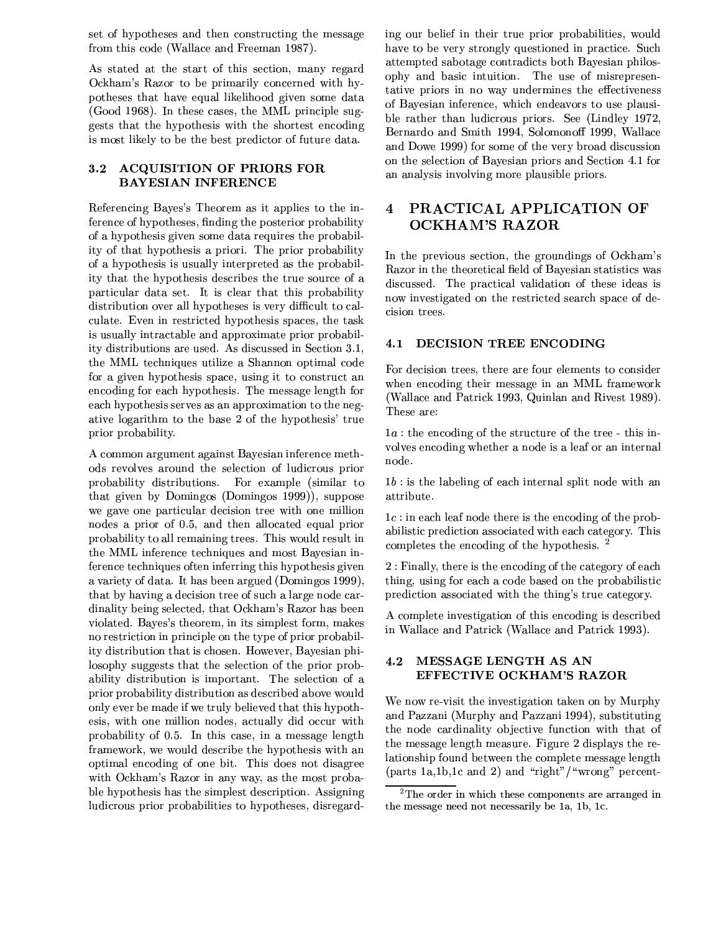set of hypotheses and then constructing the message from this code (Wallace and Freeman 1987).

As stated at the start of this section, many regard Ockham's Razor to be primarily concerned with hypotheses that have equal likelihood given some data (Good 1968). In these cases, the MML principle suggests that the hypothesis with the shortest encoding is most likely to be the best predictor of future data.

### ACQUISITION OF PRIORS FOR  $3.2$ **BAYESIAN INFERENCE**

Referencing Bayes's Theorem as it applies to the inference of hypotheses, finding the posterior probability of a hypothesis given some data requires the probability of that hypothesis a priori. The prior probability of a hypothesis is usually interpreted as the probability that the hypothesis describes the true source of a particular data set. It is clear that this probability distribution over all hypotheses is very difficult to calculate. Even in restricted hypothesis spaces, the task is usually intractable and approximate prior probability distributions are used. As discussed in Section 3.1, the MML techniques utilize a Shannon optimal code for a given hypothesis space, using it to construct an encoding for each hypothesis. The message length for each hypothesis serves as an approximation to the negative logarithm to the base 2 of the hypothesis' true prior probability.

A common argument against Bayesian inference methods revolves around the selection of ludicrous prior probability distributions. For example (similar to that given by Domingos (Domingos 1999)), suppose we gave one particular decision tree with one million nodes a prior of 0.5, and then allocated equal prior probability to all remaining trees. This would result in the MML inference techniques and most Bayesian inference techniques often inferring this hypothesis given a variety of data. It has been argued (Domingos 1999), that by having a decision tree of such a large node cardinality being selected, that Ockham's Razor has been violated. Bayes's theorem, in its simplest form, makes no restriction in principle on the type of prior probability distribution that is chosen. However, Bayesian philosophy suggests that the selection of the prior probability distribution is important. The selection of a prior probability distribution as described above would only ever be made if we truly believed that this hypothesis, with one million nodes, actually did occur with probability of 0.5. In this case, in a message length framework, we would describe the hypothesis with an optimal encoding of one bit. This does not disagree with Ockham's Razor in any way, as the most probable hypothesis has the simplest description. Assigning ludicrous prior probabilities to hypotheses, disregarding our belief in their true prior probabilities, would have to be very strongly questioned in practice. Such attempted sabotage contradicts both Bayesian philosophy and basic intuition. The use of misrepresentative priors in no way undermines the effectiveness of Bayesian inference, which endeavors to use plausible rather than ludicrous priors. See (Lindley 1972, Bernardo and Smith 1994, Solomonoff 1999, Wallace and Dowe 1999) for some of the very broad discussion on the selection of Bayesian priors and Section 4.1 for an analysis involving more plausible priors.

### PRACTICAL APPLICATION OF 4 **OCKHAM'S RAZOR**

In the previous section, the groundings of Ockham's Razor in the theoretical field of Bayesian statistics was discussed. The practical validation of these ideas is now investigated on the restricted search space of decision trees.

# 4.1 DECISION TREE ENCODING

For decision trees, there are four elements to consider when encoding their message in an MML framework (Wallace and Patrick 1993, Quinlan and Rivest 1989). These are:

 $1a$ : the encoding of the structure of the tree - this involves encoding whether a node is a leaf or an internal node.

 $1b$ : is the labeling of each internal split node with an attribute.

 $1c$ : in each leaf node there is the encoding of the probabilistic prediction associated with each category. This completes the encoding of the hypothesis.  $^2$ 

2 : Finally, there is the encoding of the category of each thing, using for each a code based on the probabilistic prediction associated with the thing's true category.

A complete investigation of this encoding is described in Wallace and Patrick (Wallace and Patrick 1993).

#### 4.2 MESSAGE LENGTH AS AN EFFECTIVE OCKHAM'S RAZOR

We now re-visit the investigation taken on by Murphy and Pazzani (Murphy and Pazzani 1994), substituting the node cardinality objective function with that of the message length measure. Figure 2 displays the relationship found between the complete message length (parts  $1a,1b,1c$  and 2) and "right"/"wrong" percent-

 $2$ The order in which these components are arranged in the message need not necessarily be 1a, 1b, 1c.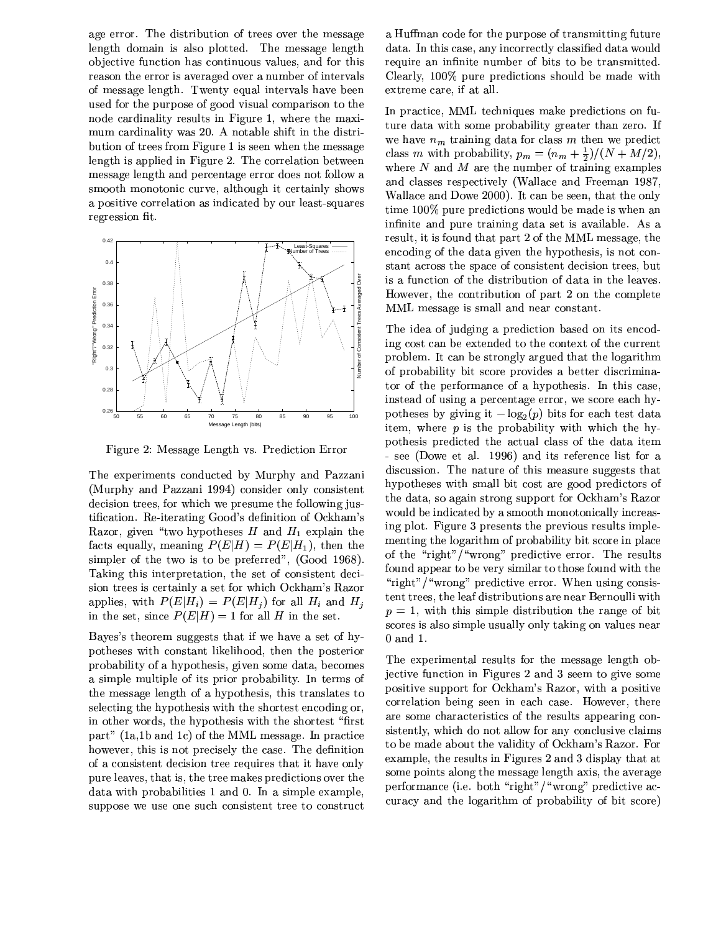age error. The distribution of trees over the message length domain is also plotted. The message length objective function has continuous values, and for this reason the error is averaged over a number of intervals of message length. Twenty equal intervals have been used for the purpose of good visual comparison to the node cardinality results in Figure 1, where the maximum cardinality was 20. A notable shift in the distribution of trees from Figure 1 is seen when the message length is applied in Figure 2. The correlation between message length and percentage error does not follow a smooth monotonic curve, although it certainly shows a positive correlation as indicated by our least-squares regression fit.



Figure 2: Message Length vs. Prediction Error

The experiments conducted by Murphy and Pazzani (Murphy and Pazzani 1994) consider only consistent decision trees, for which we presume the following justification. Re-iterating Good's definition of Ockham's Razor, given "two hypotheses  $H$  and  $H_1$  explain the facts equally, meaning  $P(E|H) = P(E|H_1)$ , then the simpler of the two is to be preferred", (Good 1968). Taking this interpretation, the set of consistent decision trees is certainly a set for which Ockham's Razor applies, with  $P(E|H_i) = P(E|H_i)$  for all  $H_i$  and  $H_i$ in the set, since  $P(E|H) = 1$  for all H in the set.

Bayes's theorem suggests that if we have a set of hypotheses with constant likelihood, then the posterior probability of a hypothesis, given some data, becomes a simple multiple of its prior probability. In terms of the message length of a hypothesis, this translates to selecting the hypothesis with the shortest encoding or, in other words, the hypothesis with the shortest "first part" (1a,1b and 1c) of the MML message. In practice however, this is not precisely the case. The definition of a consistent decision tree requires that it have only pure leaves, that is, the tree makes predictions over the data with probabilities 1 and 0. In a simple example, suppose we use one such consistent tree to construct a Huffman code for the purpose of transmitting future data. In this case, any incorrectly classified data would require an infinite number of bits to be transmitted. Clearly, 100% pure predictions should be made with extreme care, if at all.

In practice, MML techniques make predictions on future data with some probability greater than zero. If we have  $n_m$  training data for class m then we predict class m with probability,  $p_m = (n_m + \frac{1}{2})/(N + M/2)$ , where  $N$  and  $M$  are the number of training examples and classes respectively (Wallace and Freeman 1987, Wallace and Dowe 2000). It can be seen, that the only time 100% pure predictions would be made is when an infinite and pure training data set is available. As a result, it is found that part 2 of the MML message, the encoding of the data given the hypothesis, is not constant across the space of consistent decision trees, but is a function of the distribution of data in the leaves. However, the contribution of part 2 on the complete MML message is small and near constant.

The idea of judging a prediction based on its encoding cost can be extended to the context of the current problem. It can be strongly argued that the logarithm of probability bit score provides a better discriminator of the performance of a hypothesis. In this case, instead of using a percentage error, we score each hypotheses by giving it  $-\log_2(p)$  bits for each test data item, where  $p$  is the probability with which the hypothesis predicted the actual class of the data item - see (Dowe et al. 1996) and its reference list for a discussion. The nature of this measure suggests that hypotheses with small bit cost are good predictors of the data, so again strong support for Ockham's Razor would be indicated by a smooth monotonically increasing plot. Figure 3 presents the previous results implementing the logarithm of probability bit score in place of the "right"/"wrong" predictive error. The results found appear to be very similar to those found with the "right"/"wrong" predictive error. When using consistent trees, the leaf distributions are near Bernoulli with  $p = 1$ , with this simple distribution the range of bit scores is also simple usually only taking on values near 0 and 1.

The experimental results for the message length objective function in Figures 2 and 3 seem to give some positive support for Ockham's Razor, with a positive correlation being seen in each case. However, there are some characteristics of the results appearing consistently, which do not allow for any conclusive claims to be made about the validity of Ockham's Razor. For example, the results in Figures 2 and 3 display that at some points along the message length axis, the average performance (i.e. both "right"/"wrong" predictive accuracy and the logarithm of probability of bit score)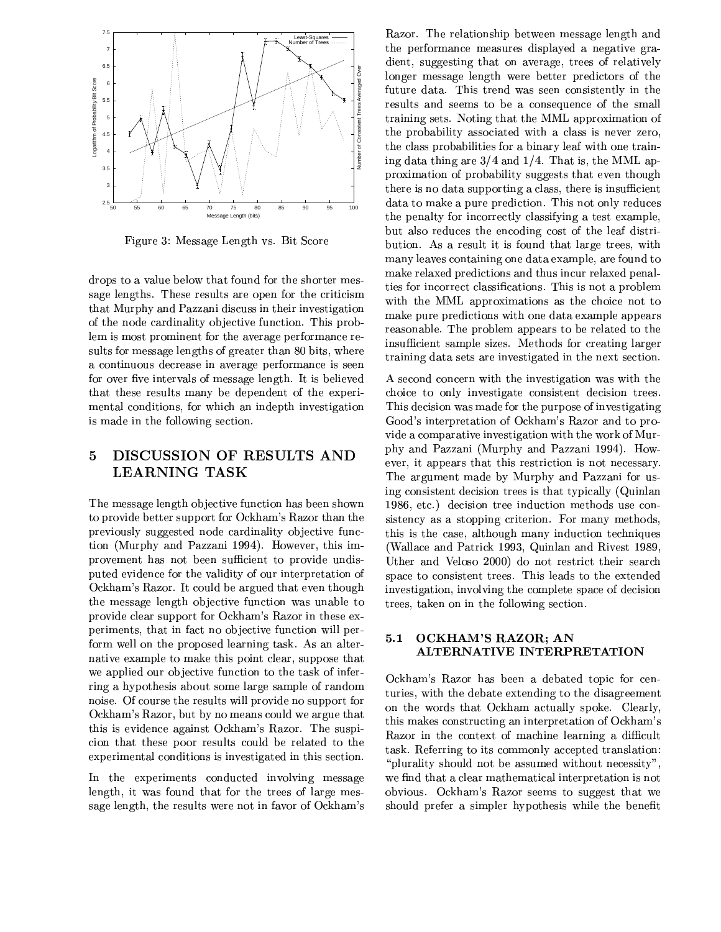

Figure 3: Message Length vs. Bit Score

drops to a value below that found for the shorter message lengths. These results are open for the criticism that Murphy and Pazzani discuss in their investigation of the node cardinality objective function. This problem is most prominent for the average performance results for message lengths of greater than 80 bits, where a continuous decrease in average performance is seen for over five intervals of message length. It is believed that these results many be dependent of the experimental conditions, for which an indepth investigation is made in the following section.

### DISCUSSION OF RESULTS AND  $\overline{5}$ **LEARNING TASK**

The message length objective function has been shown to provide better support for Ockham's Razor than the previously suggested node cardinality objective function (Murphy and Pazzani 1994). However, this improvement has not been sufficient to provide undisputed evidence for the validity of our interpretation of Ockham's Razor. It could be argued that even though the message length objective function was unable to provide clear support for Ockham's Razor in these experiments, that in fact no objective function will perform well on the proposed learning task. As an alternative example to make this point clear, suppose that we applied our objective function to the task of inferring a hypothesis about some large sample of random noise. Of course the results will provide no support for Ockham's Razor, but by no means could we argue that this is evidence against Ockham's Razor. The suspicion that these poor results could be related to the experimental conditions is investigated in this section.

In the experiments conducted involving message length, it was found that for the trees of large message length, the results were not in favor of Ockham's Razor. The relationship between message length and the performance measures displayed a negative gradient, suggesting that on average, trees of relatively longer message length were better predictors of the future data. This trend was seen consistently in the results and seems to be a consequence of the small training sets. Noting that the MML approximation of the probability associated with a class is never zero, the class probabilities for a binary leaf with one training data thing are  $3/4$  and  $1/4$ . That is, the MML approximation of probability suggests that even though there is no data supporting a class, there is insufficient data to make a pure prediction. This not only reduces the penalty for incorrectly classifying a test example, but also reduces the encoding cost of the leaf distribution. As a result it is found that large trees, with many leaves containing one data example, are found to make relaxed predictions and thus incur relaxed penalties for incorrect classifications. This is not a problem with the MML approximations as the choice not to make pure predictions with one data example appears reasonable. The problem appears to be related to the insufficient sample sizes. Methods for creating larger training data sets are investigated in the next section.

A second concern with the investigation was with the choice to only investigate consistent decision trees. This decision was made for the purpose of investigating Good's interpretation of Ockham's Razor and to provide a comparative investigation with the work of Murphy and Pazzani (Murphy and Pazzani 1994). However, it appears that this restriction is not necessary. The argument made by Murphy and Pazzani for using consistent decision trees is that typically (Quinlan 1986, etc.) decision tree induction methods use consistency as a stopping criterion. For many methods, this is the case, although many induction techniques (Wallace and Patrick 1993, Quinlan and Rivest 1989, Uther and Veloso 2000) do not restrict their search space to consistent trees. This leads to the extended investigation, involving the complete space of decision trees, taken on in the following section.

#### $5.1$ OCKHAM'S RAZOR; AN **ALTERNATIVE INTERPRETATION**

Ockham's Razor has been a debated topic for centuries, with the debate extending to the disagreement on the words that Ockham actually spoke. Clearly, this makes constructing an interpretation of Ockham's Razor in the context of machine learning a difficult task. Referring to its commonly accepted translation: "plurality should not be assumed without necessity", we find that a clear mathematical interpretation is not obvious. Ockham's Razor seems to suggest that we should prefer a simpler hypothesis while the benefit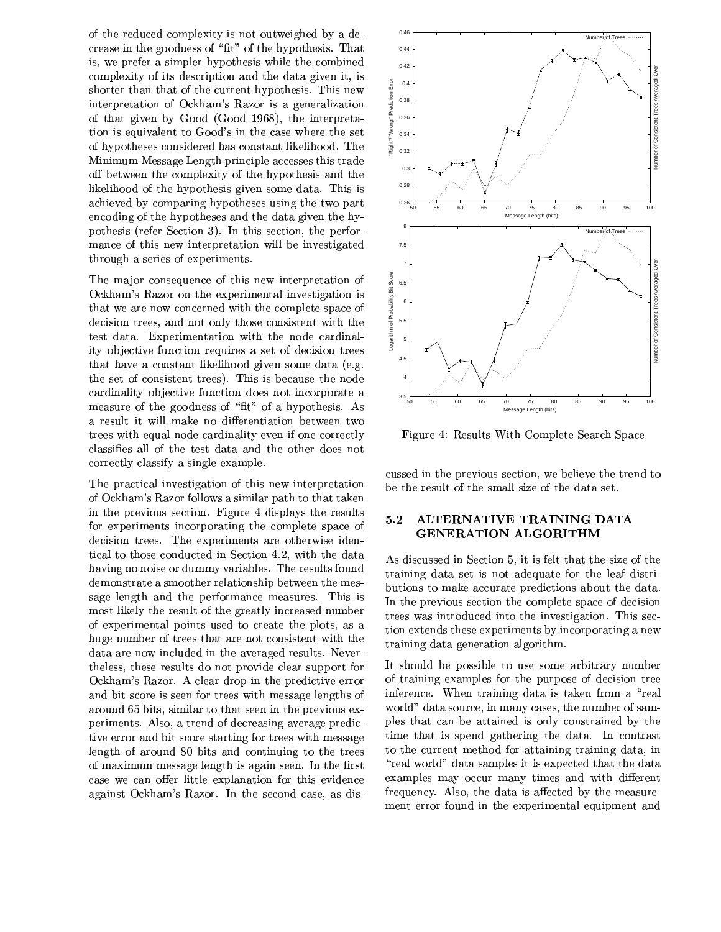of the reduced complexity is not outweighed by a decrease in the goodness of "fit" of the hypothesis. That is, we prefer a simpler hypothesis while the combined complexity of its description and the data given it, is shorter than that of the current hypothesis. This new interpretation of Ockham's Razor is a generalization of that given by Good (Good 1968), the interpretation is equivalent to Good's in the case where the set of hypotheses considered has constant likelihood. The Minimum Message Length principle accesses this trade off between the complexity of the hypothesis and the likelihood of the hypothesis given some data. This is achieved by comparing hypotheses using the two-part encoding of the hypotheses and the data given the hypothesis (refer Section 3). In this section, the performance of this new interpretation will be investigated through a series of experiments.

The major consequence of this new interpretation of Ockham's Razor on the experimental investigation is that we are now concerned with the complete space of decision trees, and not only those consistent with the test data. Experimentation with the node cardinality objective function requires a set of decision trees that have a constant likelihood given some data (e.g. the set of consistent trees). This is because the node cardinality objective function does not incorporate a measure of the goodness of "fit" of a hypothesis. As a result it will make no differentiation between two trees with equal node cardinality even if one correctly classifies all of the test data and the other does not correctly classify a single example.

The practical investigation of this new interpretation of Ockham's Razor follows a similar path to that taken in the previous section. Figure 4 displays the results for experiments incorporating the complete space of decision trees. The experiments are otherwise identical to those conducted in Section 4.2, with the data having no noise or dummy variables. The results found demonstrate a smoother relationship between the message length and the performance measures. This is most likely the result of the greatly increased number of experimental points used to create the plots, as a huge number of trees that are not consistent with the data are now included in the averaged results. Nevertheless, these results do not provide clear support for Ockham's Razor. A clear drop in the predictive error and bit score is seen for trees with message lengths of around 65 bits, similar to that seen in the previous experiments. Also, a trend of decreasing average predictive error and bit score starting for trees with message length of around 80 bits and continuing to the trees of maximum message length is again seen. In the first case we can offer little explanation for this evidence against Ockham's Razor. In the second case, as dis-



Figure 4: Results With Complete Search Space

cussed in the previous section, we believe the trend to be the result of the small size of the data set.

### ALTERNATIVE TRAINING DATA  $5.2$ **GENERATION ALGORITHM**

As discussed in Section 5, it is felt that the size of the training data set is not adequate for the leaf distributions to make accurate predictions about the data. In the previous section the complete space of decision trees was introduced into the investigation. This section extends these experiments by incorporating a new training data generation algorithm.

It should be possible to use some arbitrary number of training examples for the purpose of decision tree inference. When training data is taken from a "real world" data source, in many cases, the number of samples that can be attained is only constrained by the time that is spend gathering the data. In contrast to the current method for attaining training data, in "real world" data samples it is expected that the data examples may occur many times and with different frequency. Also, the data is affected by the measurement error found in the experimental equipment and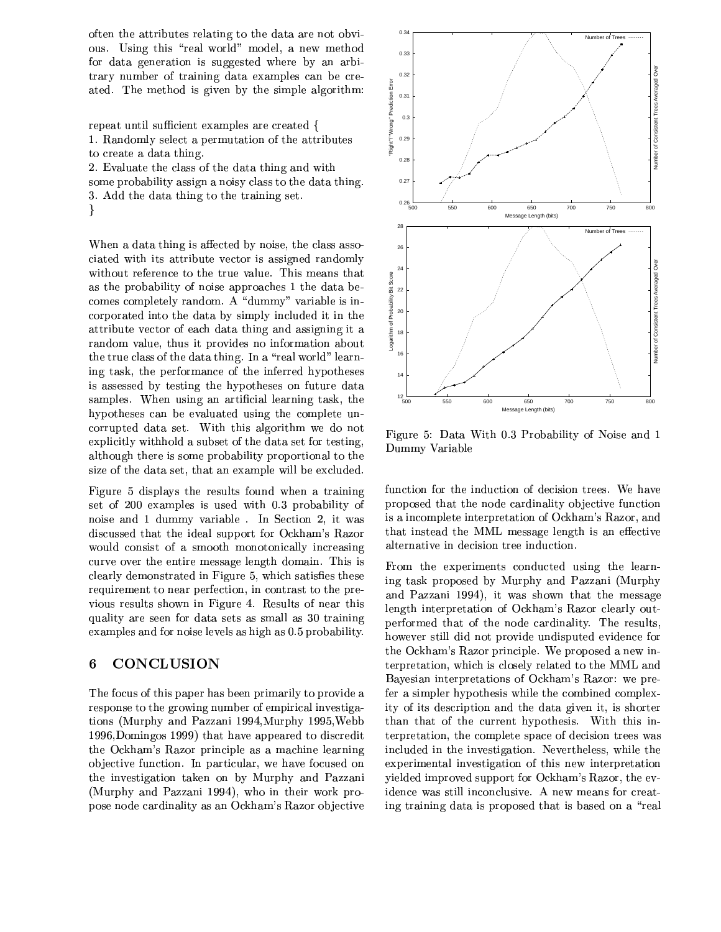often the attributes relating to the data are not obvious. Using this "real world" model, a new method for data generation is suggested where by an arbitrary number of training data examples can be created. The method is given by the simple algorithm:

repeat until sufficient examples are created { 1. Randomly select a permutation of the attributes to create a data thing. 2. Evaluate the class of the data thing and with

some probability assign a noisy class to the data thing. 3. Add the data thing to the training set.  $\mathbf{r}$ 

When a data thing is affected by noise, the class associated with its attribute vector is assigned randomly without reference to the true value. This means that as the probability of noise approaches 1 the data becomes completely random. A "dummy" variable is incorporated into the data by simply included it in the attribute vector of each data thing and assigning it a random value, thus it provides no information about the true class of the data thing. In a "real world" learning task, the performance of the inferred hypotheses is assessed by testing the hypotheses on future data samples. When using an artificial learning task, the hypotheses can be evaluated using the complete uncorrupted data set. With this algorithm we do not explicitly withhold a subset of the data set for testing, although there is some probability proportional to the size of the data set, that an example will be excluded.

Figure 5 displays the results found when a training set of 200 examples is used with 0.3 probability of noise and 1 dummy variable. In Section 2, it was discussed that the ideal support for Ockham's Razor would consist of a smooth monotonically increasing curve over the entire message length domain. This is clearly demonstrated in Figure 5, which satisfies these requirement to near perfection, in contrast to the previous results shown in Figure 4. Results of near this quality are seen for data sets as small as 30 training examples and for noise levels as high as 0.5 probability.

#### **CONCLUSION** 6

The focus of this paper has been primarily to provide a response to the growing number of empirical investigations (Murphy and Pazzani 1994, Murphy 1995, Webb 1996, Domingos 1999) that have appeared to discredit the Ockham's Razor principle as a machine learning objective function. In particular, we have focused on the investigation taken on by Murphy and Pazzani (Murphy and Pazzani 1994), who in their work propose node cardinality as an Ockham's Razor objective



Figure 5: Data With 0.3 Probability of Noise and 1 Dummy Variable

function for the induction of decision trees. We have proposed that the node cardinality objective function is a incomplete interpretation of Ockham's Razor, and that instead the MML message length is an effective alternative in decision tree induction.

From the experiments conducted using the learning task proposed by Murphy and Pazzani (Murphy and Pazzani 1994), it was shown that the message length interpretation of Ockham's Razor clearly outperformed that of the node cardinality. The results, however still did not provide undisputed evidence for the Ockham's Razor principle. We proposed a new interpretation, which is closely related to the MML and Bayesian interpretations of Ockham's Razor: we prefer a simpler hypothesis while the combined complexity of its description and the data given it, is shorter than that of the current hypothesis. With this interpretation, the complete space of decision trees was included in the investigation. Nevertheless, while the experimental investigation of this new interpretation yielded improved support for Ockham's Razor, the evidence was still inconclusive. A new means for creating training data is proposed that is based on a "real